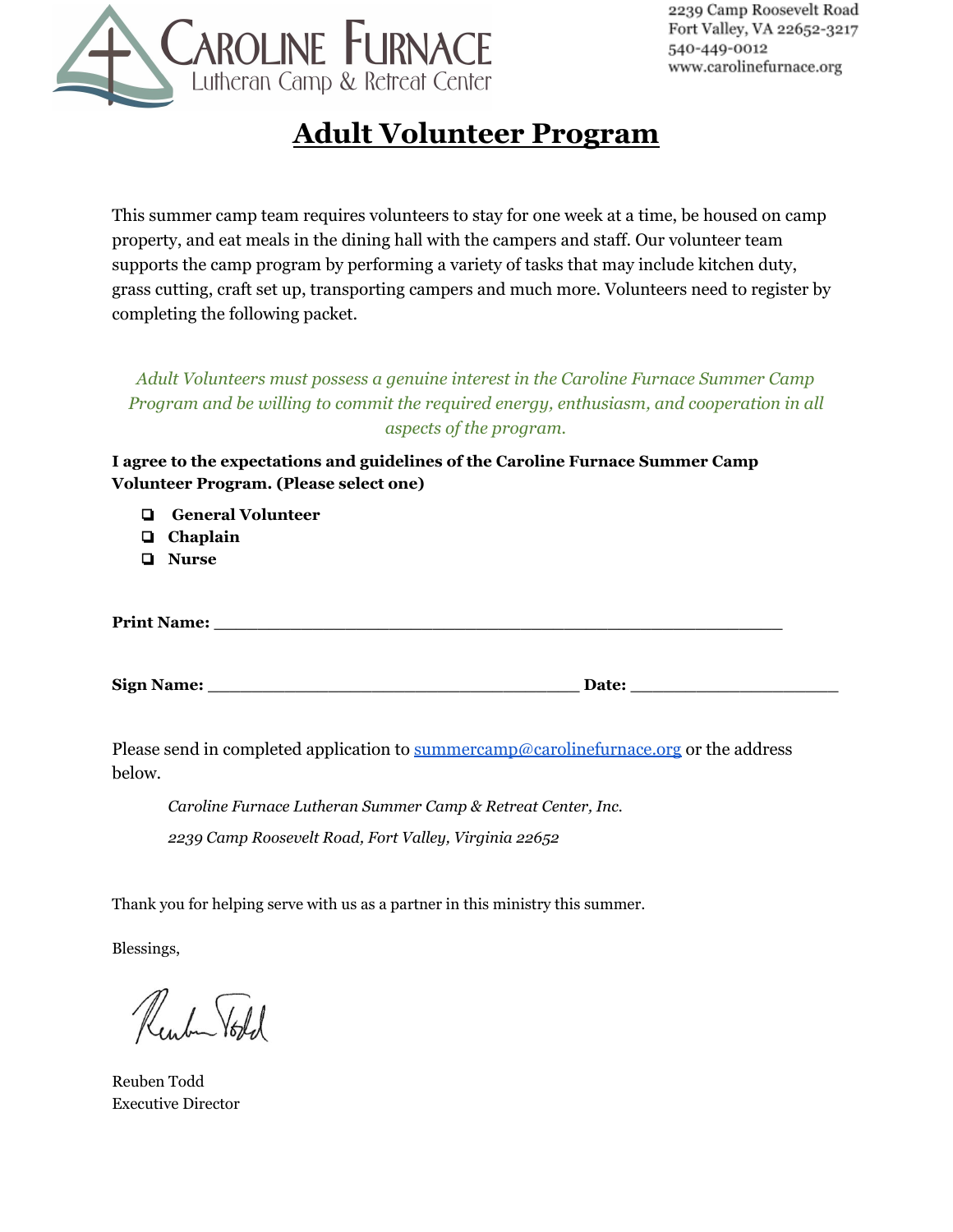

# **Adult Volunteer Program**

This summer camp team requires volunteers to stay for one week at a time, be housed on camp property, and eat meals in the dining hall with the campers and staff. Our volunteer team supports the camp program by performing a variety of tasks that may include kitchen duty, grass cutting, craft set up, transporting campers and much more. Volunteers need to register by completing the following packet.

*Adult Volunteers must possess a genuine interest in the Caroline Furnace Summer Camp Program and be willing to commit the required energy, enthusiasm, and cooperation in all aspects of the program.*

**I agree to the expectations and guidelines of the Caroline Furnace Summer Camp Volunteer Program. (Please select one)**

- ❏ **General Volunteer**
- ❏ **Chaplain**
- ❏ **Nurse**

**Print Name: \_\_\_\_\_\_\_\_\_\_\_\_\_\_\_\_\_\_\_\_\_\_\_\_\_\_\_\_\_\_\_\_\_\_\_\_\_\_\_\_\_\_\_\_\_\_\_\_\_\_\_\_**

**Sign Name: \_\_\_\_\_\_\_\_\_\_\_\_\_\_\_\_\_\_\_\_\_\_\_\_\_\_\_\_\_\_\_\_\_\_ Date: \_\_\_\_\_\_\_\_\_\_\_\_\_\_\_\_\_\_\_**

Please send in completed application to [summercamp@carolinefurnace.org](mailto:summercamp@carolinefurnace.org) or the address below.

*Caroline Furnace Lutheran Summer Camp & Retreat Center, Inc. 2239 Camp Roosevelt Road, Fort Valley, Virginia 22652*

Thank you for helping serve with us as a partner in this ministry this summer.

Blessings,

Reuben Vold

Reuben Todd Executive Director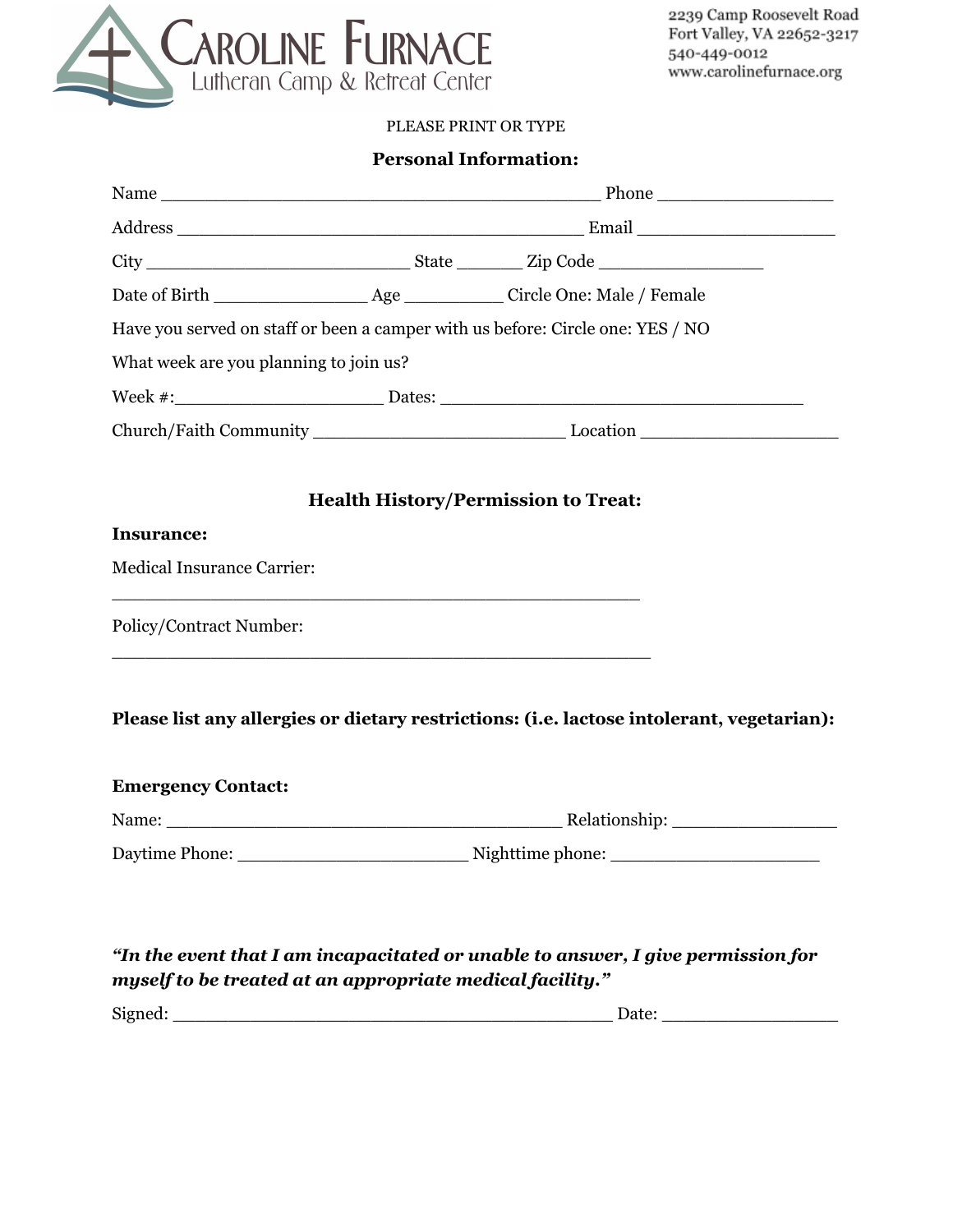

#### PLEASE PRINT OR TYPE

# **Personal Information:**

| Have you served on staff or been a camper with us before: Circle one: YES / NO |  |                                                                                           |  |  |  |
|--------------------------------------------------------------------------------|--|-------------------------------------------------------------------------------------------|--|--|--|
| What week are you planning to join us?                                         |  |                                                                                           |  |  |  |
|                                                                                |  |                                                                                           |  |  |  |
|                                                                                |  |                                                                                           |  |  |  |
|                                                                                |  |                                                                                           |  |  |  |
|                                                                                |  | <b>Health History/Permission to Treat:</b>                                                |  |  |  |
| <b>Insurance:</b>                                                              |  |                                                                                           |  |  |  |
| <b>Medical Insurance Carrier:</b>                                              |  |                                                                                           |  |  |  |
|                                                                                |  |                                                                                           |  |  |  |
| Policy/Contract Number:                                                        |  |                                                                                           |  |  |  |
|                                                                                |  |                                                                                           |  |  |  |
|                                                                                |  |                                                                                           |  |  |  |
|                                                                                |  | Please list any allergies or dietary restrictions: (i.e. lactose intolerant, vegetarian): |  |  |  |
|                                                                                |  |                                                                                           |  |  |  |
| <b>Emergency Contact:</b>                                                      |  |                                                                                           |  |  |  |
|                                                                                |  |                                                                                           |  |  |  |
|                                                                                |  | Daytime Phone: Nighttime phone: Nighttime phone:                                          |  |  |  |
|                                                                                |  |                                                                                           |  |  |  |
|                                                                                |  |                                                                                           |  |  |  |
| myself to be treated at an appropriate medical facility."                      |  | "In the event that I am incapacitated or unable to answer, I give permission for          |  |  |  |
|                                                                                |  |                                                                                           |  |  |  |
|                                                                                |  |                                                                                           |  |  |  |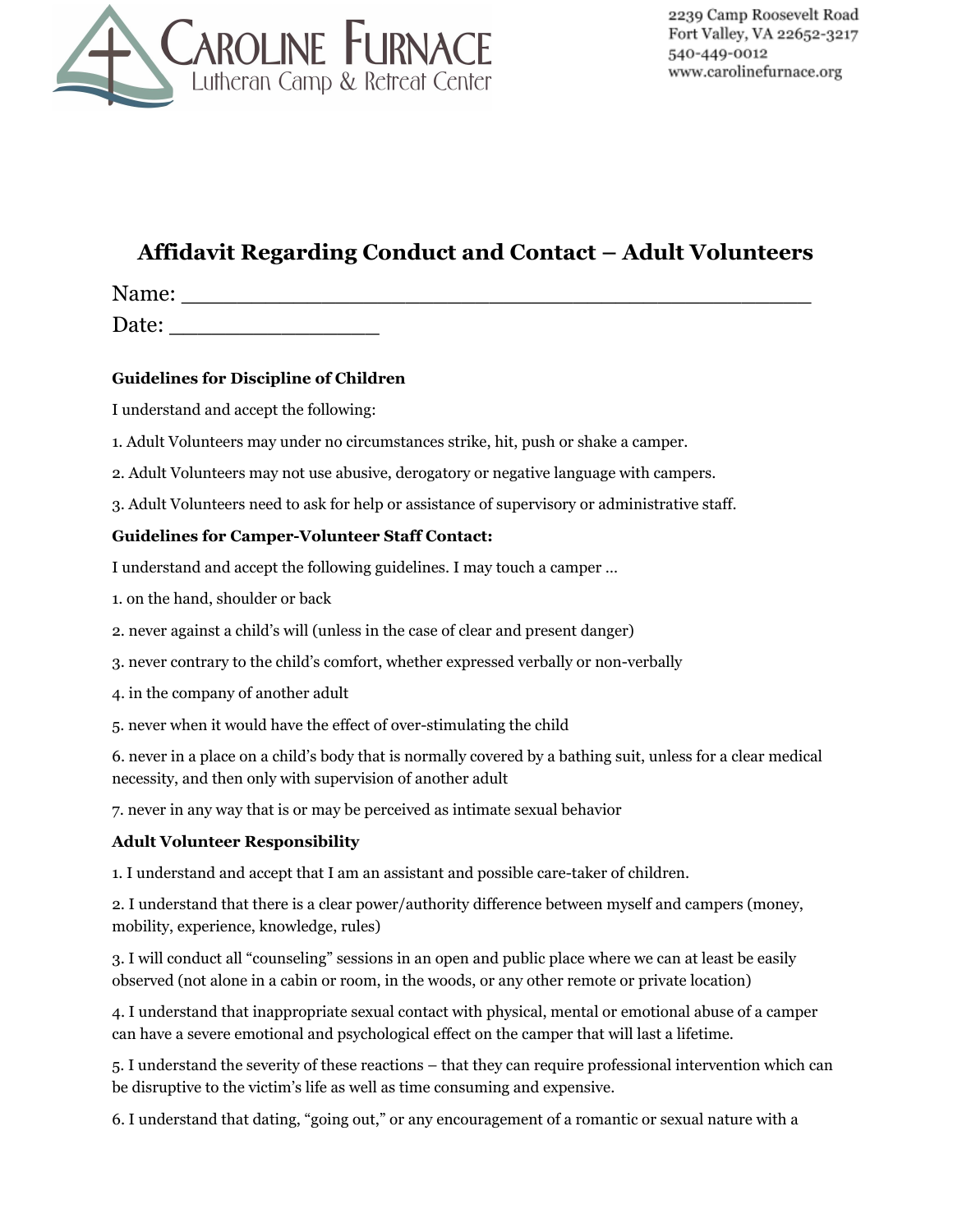

# **Affidavit Regarding Conduct and Contact – Adult Volunteers**

Name: \_\_\_\_\_\_\_\_\_\_\_\_\_\_\_\_\_\_\_\_\_\_\_\_\_\_\_\_\_\_\_\_\_\_\_\_\_\_\_\_\_\_\_\_\_

Date:

#### **Guidelines for Discipline of Children**

I understand and accept the following:

1. Adult Volunteers may under no circumstances strike, hit, push or shake a camper.

2. Adult Volunteers may not use abusive, derogatory or negative language with campers.

3. Adult Volunteers need to ask for help or assistance of supervisory or administrative staff.

#### **Guidelines for Camper-Volunteer Staff Contact:**

I understand and accept the following guidelines. I may touch a camper …

1. on the hand, shoulder or back

2. never against a child's will (unless in the case of clear and present danger)

3. never contrary to the child's comfort, whether expressed verbally or non-verbally

4. in the company of another adult

5. never when it would have the effect of over-stimulating the child

6. never in a place on a child's body that is normally covered by a bathing suit, unless for a clear medical necessity, and then only with supervision of another adult

7. never in any way that is or may be perceived as intimate sexual behavior

#### **Adult Volunteer Responsibility**

1. I understand and accept that I am an assistant and possible care-taker of children.

2. I understand that there is a clear power/authority difference between myself and campers (money, mobility, experience, knowledge, rules)

3. I will conduct all "counseling" sessions in an open and public place where we can at least be easily observed (not alone in a cabin or room, in the woods, or any other remote or private location)

4. I understand that inappropriate sexual contact with physical, mental or emotional abuse of a camper can have a severe emotional and psychological effect on the camper that will last a lifetime.

5. I understand the severity of these reactions – that they can require professional intervention which can be disruptive to the victim's life as well as time consuming and expensive.

6. I understand that dating, "going out," or any encouragement of a romantic or sexual nature with a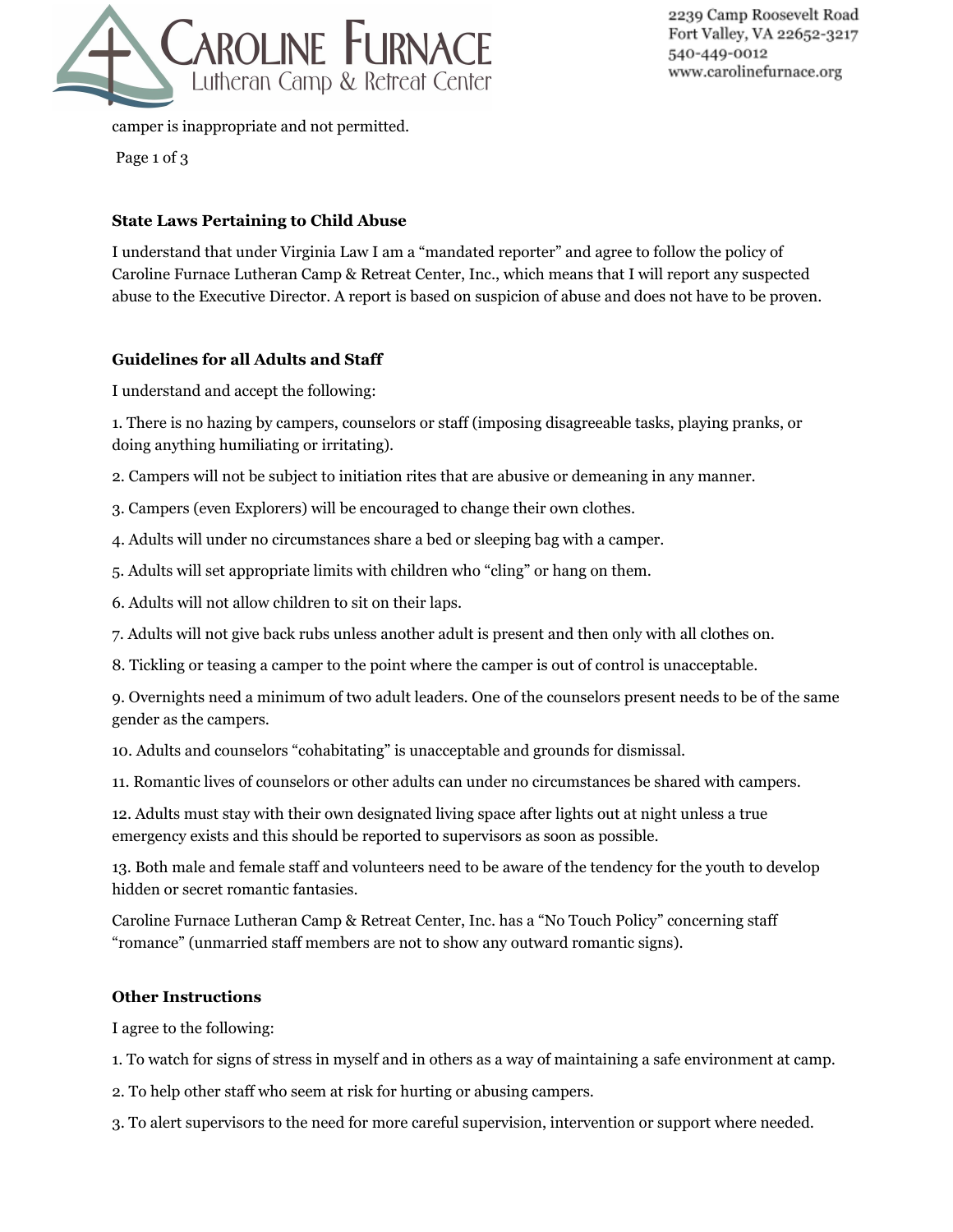

2239 Camp Roosevelt Road Fort Valley, VA 22652-3217 540-449-0012 www.carolinefurnace.org

camper is inappropriate and not permitted.

Page 1 of 3

#### **State Laws Pertaining to Child Abuse**

I understand that under Virginia Law I am a "mandated reporter" and agree to follow the policy of Caroline Furnace Lutheran Camp & Retreat Center, Inc., which means that I will report any suspected abuse to the Executive Director. A report is based on suspicion of abuse and does not have to be proven.

#### **Guidelines for all Adults and Staff**

I understand and accept the following:

1. There is no hazing by campers, counselors or staff (imposing disagreeable tasks, playing pranks, or doing anything humiliating or irritating).

2. Campers will not be subject to initiation rites that are abusive or demeaning in any manner.

- 3. Campers (even Explorers) will be encouraged to change their own clothes.
- 4. Adults will under no circumstances share a bed or sleeping bag with a camper.
- 5. Adults will set appropriate limits with children who "cling" or hang on them.
- 6. Adults will not allow children to sit on their laps.
- 7. Adults will not give back rubs unless another adult is present and then only with all clothes on.
- 8. Tickling or teasing a camper to the point where the camper is out of control is unacceptable.

9. Overnights need a minimum of two adult leaders. One of the counselors present needs to be of the same gender as the campers.

10. Adults and counselors "cohabitating" is unacceptable and grounds for dismissal.

11. Romantic lives of counselors or other adults can under no circumstances be shared with campers.

12. Adults must stay with their own designated living space after lights out at night unless a true emergency exists and this should be reported to supervisors as soon as possible.

13. Both male and female staff and volunteers need to be aware of the tendency for the youth to develop hidden or secret romantic fantasies.

Caroline Furnace Lutheran Camp & Retreat Center, Inc. has a "No Touch Policy" concerning staff "romance" (unmarried staff members are not to show any outward romantic signs).

#### **Other Instructions**

I agree to the following:

- 1. To watch for signs of stress in myself and in others as a way of maintaining a safe environment at camp.
- 2. To help other staff who seem at risk for hurting or abusing campers.

3. To alert supervisors to the need for more careful supervision, intervention or support where needed.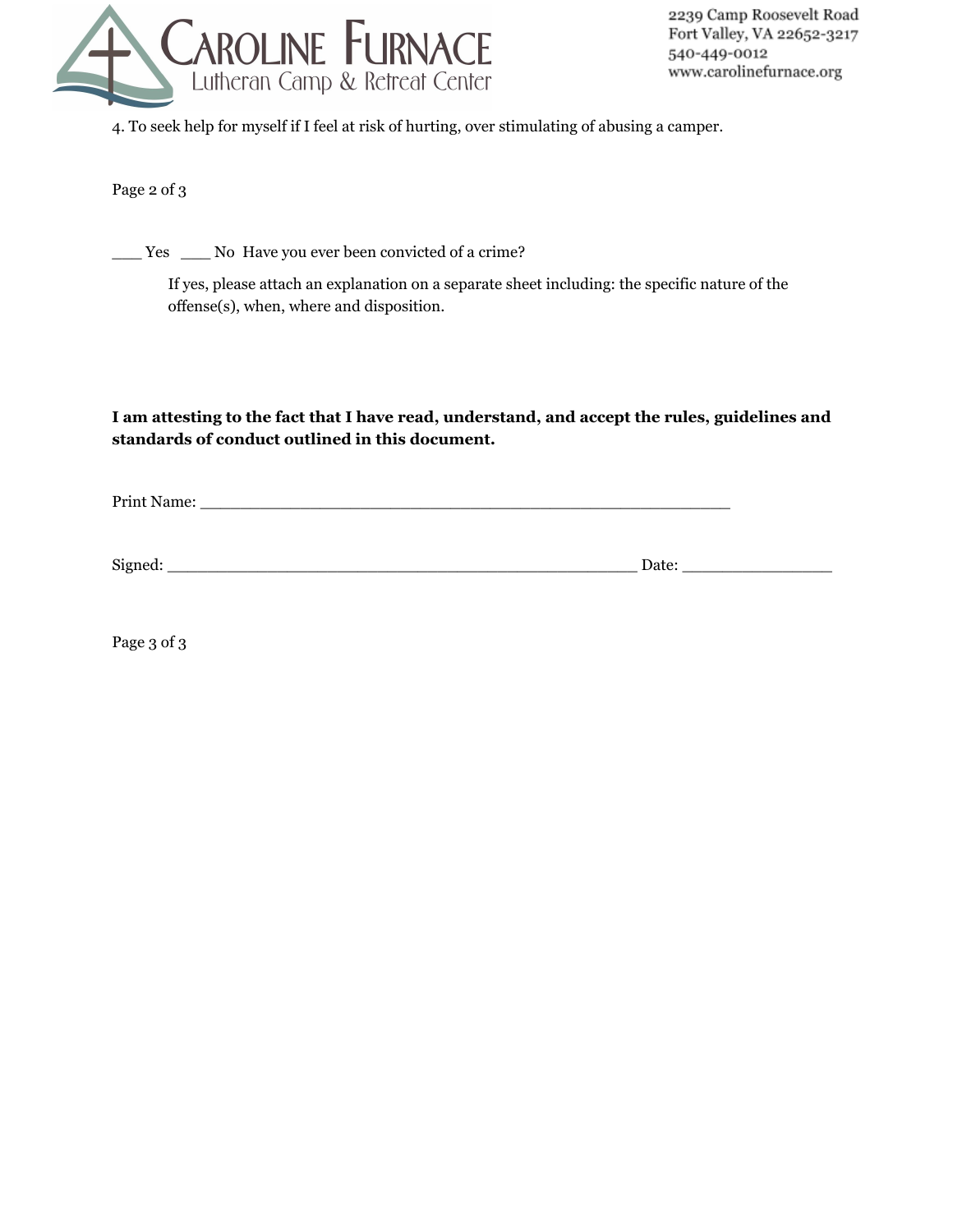

4. To seek help for myself if I feel at risk of hurting, over stimulating of abusing a camper.

Page 2 of 3

\_\_\_ Yes \_\_\_ No Have you ever been convicted of a crime?

If yes, please attach an explanation on a separate sheet including: the specific nature of the offense(s), when, where and disposition.

### **I am attesting to the fact that I have read, understand, and accept the rules, guidelines and standards of conduct outlined in this document.**

Print Name: \_\_\_\_\_\_\_\_\_\_\_\_\_\_\_\_\_\_\_\_\_\_\_\_\_\_\_\_\_\_\_\_\_\_\_\_\_\_\_\_\_\_\_\_\_\_\_\_\_\_\_\_\_

Signed: \_\_\_\_\_\_\_\_\_\_\_\_\_\_\_\_\_\_\_\_\_\_\_\_\_\_\_\_\_\_\_\_\_\_\_\_\_\_\_\_\_\_\_\_\_\_\_ Date: \_\_\_\_\_\_\_\_\_\_\_\_\_\_\_

Page 3 of 3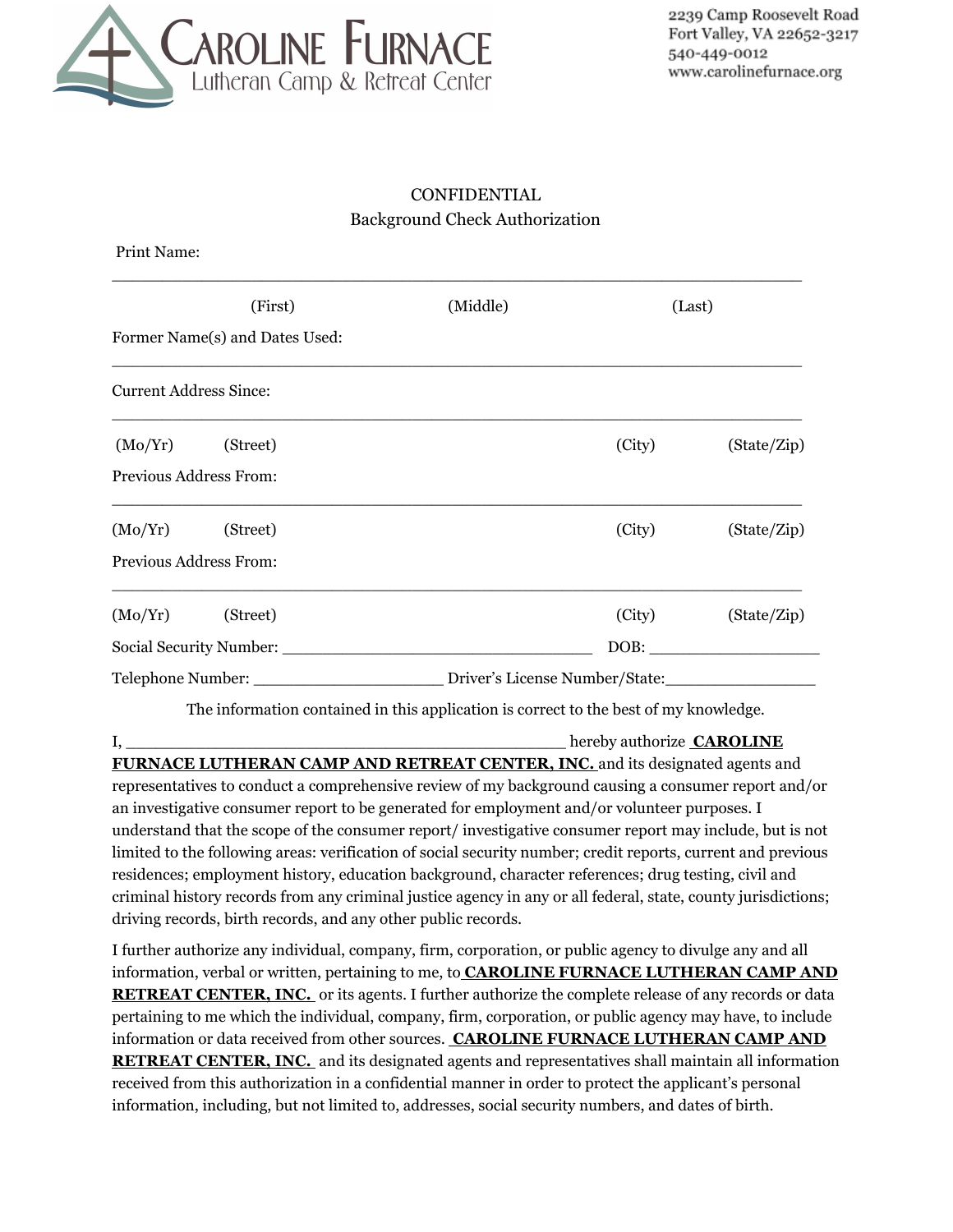

## CONFIDENTIAL Background Check Authorization

| Print Name:                    |                        |                                                                                                      |        |             |  |  |
|--------------------------------|------------------------|------------------------------------------------------------------------------------------------------|--------|-------------|--|--|
|                                | (First)                | (Middle)                                                                                             | (Last) |             |  |  |
| Former Name(s) and Dates Used: |                        |                                                                                                      |        |             |  |  |
| <b>Current Address Since:</b>  |                        |                                                                                                      |        |             |  |  |
|                                | $(Mo/Yr)$ (Street)     |                                                                                                      | (City) | (State/Zip) |  |  |
|                                | Previous Address From: |                                                                                                      |        |             |  |  |
|                                | $(Mo/Yr)$ (Street)     |                                                                                                      | (City) | (State/Zip) |  |  |
|                                | Previous Address From: |                                                                                                      |        |             |  |  |
|                                | (Mo/Yr) (Street)       |                                                                                                      | (City) | (State/Zip) |  |  |
|                                |                        |                                                                                                      |        |             |  |  |
|                                |                        | Telephone Number: ____________________________Driver's License Number/State: _______________________ |        |             |  |  |
|                                |                        | The information contained in this application is correct to the best of my knowledge.                |        |             |  |  |

I, thereby authorize **CAROLINE FURNACE LUTHERAN CAMP AND RETREAT CENTER, INC.** and its designated agents and representatives to conduct a comprehensive review of my background causing a consumer report and/or an investigative consumer report to be generated for employment and/or volunteer purposes. I understand that the scope of the consumer report/ investigative consumer report may include, but is not limited to the following areas: verification of social security number; credit reports, current and previous residences; employment history, education background, character references; drug testing, civil and criminal history records from any criminal justice agency in any or all federal, state, county jurisdictions; driving records, birth records, and any other public records.

I further authorize any individual, company, firm, corporation, or public agency to divulge any and all information, verbal or written, pertaining to me, to **CAROLINE FURNACE LUTHERAN CAMP AND RETREAT CENTER, INC.** or its agents. I further authorize the complete release of any records or data pertaining to me which the individual, company, firm, corporation, or public agency may have, to include information or data received from other sources. **CAROLINE FURNACE LUTHERAN CAMP AND RETREAT CENTER, INC.** and its designated agents and representatives shall maintain all information received from this authorization in a confidential manner in order to protect the applicant's personal information, including, but not limited to, addresses, social security numbers, and dates of birth.